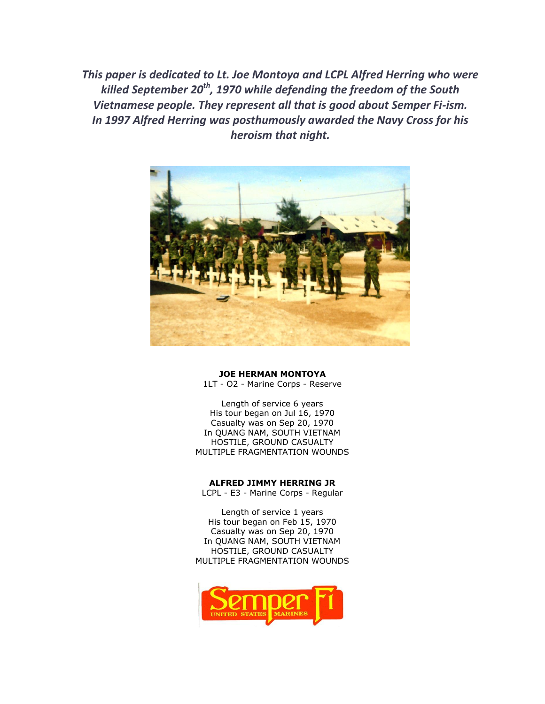*This paper is dedicated to Lt. Joe Montoya and LCPL Alfred Herring who were killed September 20th, 1970 while defending the freedom of the South Vietnamese people. They represent all that is good about Semper Fi-ism. In 1997 Alfred Herring was posthumously awarded the Navy Cross for his heroism that night.* 



#### **JOE HERMAN MONTOYA**

1LT - O2 - Marine Corps - Reserve

Length of service 6 years His tour began on Jul 16, 1970 Casualty was on Sep 20, 1970 In QUANG NAM, SOUTH VIETNAM HOSTILE, GROUND CASUALTY MULTIPLE FRAGMENTATION WOUNDS

**ALFRED JIMMY HERRING JR** 

LCPL - E3 - Marine Corps - Regular

Length of service 1 years His tour began on Feb 15, 1970 Casualty was on Sep 20, 1970 In QUANG NAM, SOUTH VIETNAM HOSTILE, GROUND CASUALTY MULTIPLE FRAGMENTATION WOUNDS

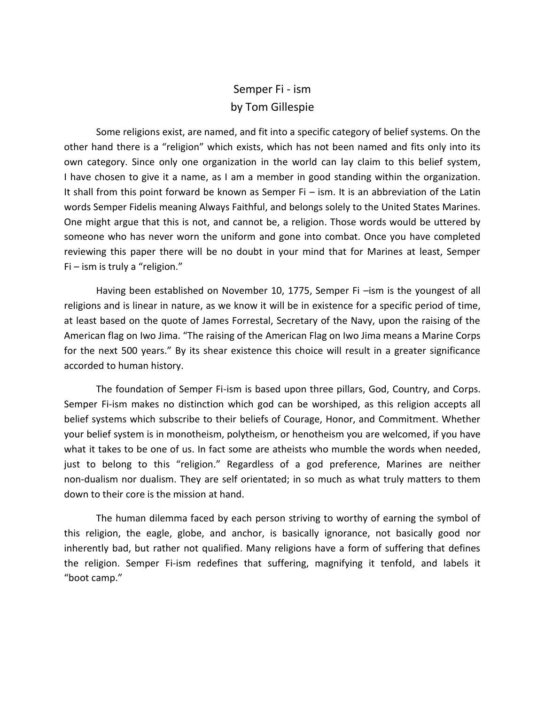# Semper Fi - ism by Tom Gillespie

Some religions exist, are named, and fit into a specific category of belief systems. On the other hand there is a "religion" which exists, which has not been named and fits only into its own category. Since only one organization in the world can lay claim to this belief system, I have chosen to give it a name, as I am a member in good standing within the organization. It shall from this point forward be known as Semper Fi – ism. It is an abbreviation of the Latin words Semper Fidelis meaning Always Faithful, and belongs solely to the United States Marines. One might argue that this is not, and cannot be, a religion. Those words would be uttered by someone who has never worn the uniform and gone into combat. Once you have completed reviewing this paper there will be no doubt in your mind that for Marines at least, Semper Fi – ism is truly a "religion."

Having been established on November 10, 1775, Semper Fi - ism is the youngest of all religions and is linear in nature, as we know it will be in existence for a specific period of time, at least based on the quote of James Forrestal, Secretary of the Navy, upon the raising of the American flag on Iwo Jima. "The raising of the American Flag on Iwo Jima means a Marine Corps for the next 500 years." By its shear existence this choice will result in a greater significance accorded to human history.

The foundation of Semper Fi-ism is based upon three pillars, God, Country, and Corps. Semper Fi-ism makes no distinction which god can be worshiped, as this religion accepts all belief systems which subscribe to their beliefs of Courage, Honor, and Commitment. Whether your belief system is in monotheism, polytheism, or henotheism you are welcomed, if you have what it takes to be one of us. In fact some are atheists who mumble the words when needed, just to belong to this "religion." Regardless of a god preference, Marines are neither non-dualism nor dualism. They are self orientated; in so much as what truly matters to them down to their core is the mission at hand.

The human dilemma faced by each person striving to worthy of earning the symbol of this religion, the eagle, globe, and anchor, is basically ignorance, not basically good nor inherently bad, but rather not qualified. Many religions have a form of suffering that defines the religion. Semper Fi-ism redefines that suffering, magnifying it tenfold, and labels it "boot camp."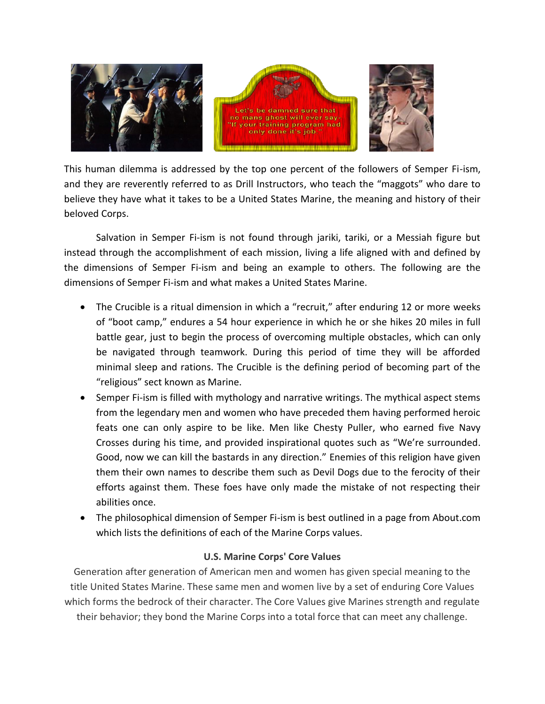

This human dilemma is addressed by the top one percent of the followers of Semper Fi-ism, and they are reverently referred to as Drill Instructors, who teach the "maggots" who dare to believe they have what it takes to be a United States Marine, the meaning and history of their beloved Corps.

Salvation in Semper Fi-ism is not found through jariki, tariki, or a Messiah figure but instead through the accomplishment of each mission, living a life aligned with and defined by the dimensions of Semper Fi-ism and being an example to others. The following are the dimensions of Semper Fi-ism and what makes a United States Marine.

- The Crucible is a ritual dimension in which a "recruit," after enduring 12 or more weeks of "boot camp," endures a 54 hour experience in which he or she hikes 20 miles in full battle gear, just to begin the process of overcoming multiple obstacles, which can only be navigated through teamwork. During this period of time they will be afforded minimal sleep and rations. The Crucible is the defining period of becoming part of the "religious" sect known as Marine.
- Semper Fi-ism is filled with mythology and narrative writings. The mythical aspect stems from the legendary men and women who have preceded them having performed heroic feats one can only aspire to be like. Men like Chesty Puller, who earned five Navy Crosses during his time, and provided inspirational quotes such as "We're surrounded. Good, now we can kill the bastards in any direction." Enemies of this religion have given them their own names to describe them such as Devil Dogs due to the ferocity of their efforts against them. These foes have only made the mistake of not respecting their abilities once.
- The philosophical dimension of Semper Fi-ism is best outlined in a page from About.com which lists the definitions of each of the Marine Corps values.

# **U.S. Marine Corps' Core Values**

Generation after generation of American men and women has given special meaning to the title United States Marine. These same men and women live by a set of enduring Core Values which forms the bedrock of their character. The Core Values give Marines strength and regulate their behavior; they bond the Marine Corps into a total force that can meet any challenge.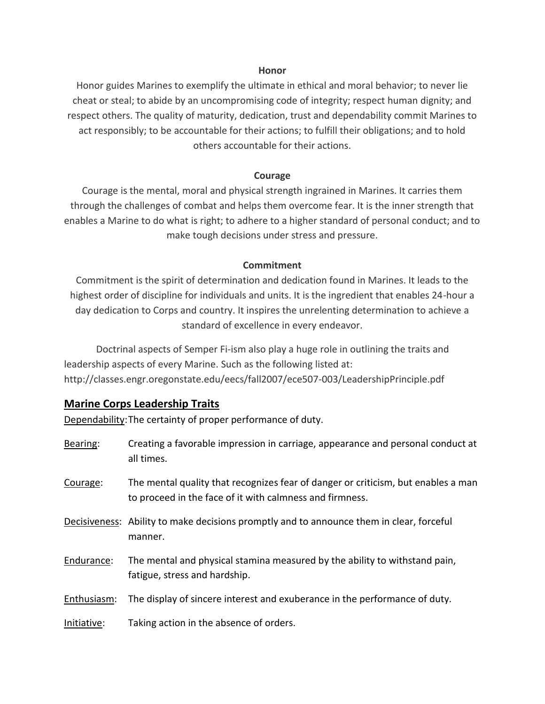#### **Honor**

Honor guides Marines to exemplify the ultimate in ethical and moral behavior; to never lie cheat or steal; to abide by an uncompromising code of integrity; respect human dignity; and respect others. The quality of maturity, dedication, trust and dependability commit Marines to act responsibly; to be accountable for their actions; to fulfill their obligations; and to hold others accountable for their actions.

#### **Courage**

Courage is the mental, moral and physical strength ingrained in Marines. It carries them through the challenges of combat and helps them overcome fear. It is the inner strength that enables a Marine to do what is right; to adhere to a higher standard of personal conduct; and to make tough decisions under stress and pressure.

#### **Commitment**

Commitment is the spirit of determination and dedication found in Marines. It leads to the highest order of discipline for individuals and units. It is the ingredient that enables 24-hour a day dedication to Corps and country. It inspires the unrelenting determination to achieve a standard of excellence in every endeavor.

Doctrinal aspects of Semper Fi-ism also play a huge role in outlining the traits and leadership aspects of every Marine. Such as the following listed at: http://classes.engr.oregonstate.edu/eecs/fall2007/ece507-003/LeadershipPrinciple.pdf

# **Marine Corps Leadership Traits**

Dependability:The certainty of proper performance of duty.

| Bearing:    | Creating a favorable impression in carriage, appearance and personal conduct at<br>all times.                                                 |
|-------------|-----------------------------------------------------------------------------------------------------------------------------------------------|
| Courage:    | The mental quality that recognizes fear of danger or criticism, but enables a man<br>to proceed in the face of it with calmness and firmness. |
|             | Decisiveness: Ability to make decisions promptly and to announce them in clear, forceful<br>manner.                                           |
| Endurance:  | The mental and physical stamina measured by the ability to withstand pain,<br>fatigue, stress and hardship.                                   |
| Enthusiasm: | The display of sincere interest and exuberance in the performance of duty.                                                                    |
| Initiative: | Taking action in the absence of orders.                                                                                                       |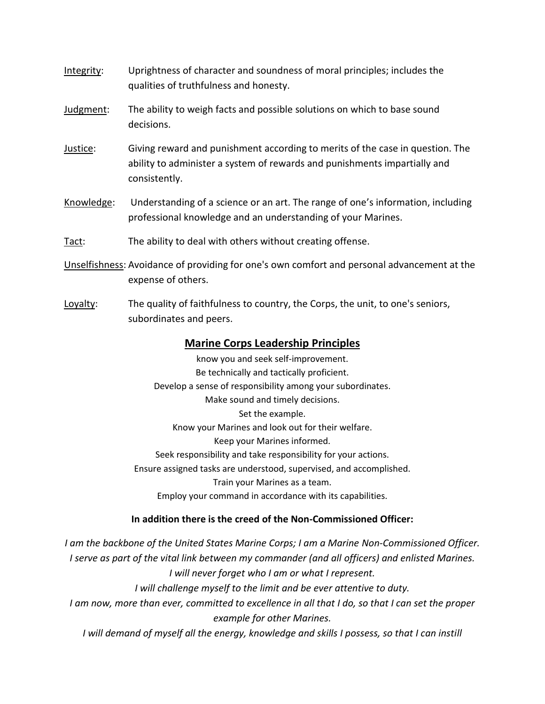- Integrity: Uprightness of character and soundness of moral principles; includes the qualities of truthfulness and honesty.
- Judgment: The ability to weigh facts and possible solutions on which to base sound decisions.
- Justice: Giving reward and punishment according to merits of the case in question. The ability to administer a system of rewards and punishments impartially and consistently.
- Knowledge: Understanding of a science or an art. The range of one's information, including professional knowledge and an understanding of your Marines.
- Tact: The ability to deal with others without creating offense.
- Unselfishness: Avoidance of providing for one's own comfort and personal advancement at the expense of others.
- Loyalty: The quality of faithfulness to country, the Corps, the unit, to one's seniors, subordinates and peers.

# **Marine Corps Leadership Principles**

know you and seek self-improvement. Be technically and tactically proficient. Develop a sense of responsibility among your subordinates. Make sound and timely decisions. Set the example. Know your Marines and look out for their welfare. Keep your Marines informed. Seek responsibility and take responsibility for your actions. Ensure assigned tasks are understood, supervised, and accomplished. Train your Marines as a team. Employ your command in accordance with its capabilities.

#### **In addition there is the creed of the Non-Commissioned Officer:**

*I am the backbone of the United States Marine Corps; I am a Marine Non-Commissioned Officer. I serve as part of the vital link between my commander (and all officers) and enlisted Marines. I will never forget who I am or what I represent. I will challenge myself to the limit and be ever attentive to duty. I am now, more than ever, committed to excellence in all that I do, so that I can set the proper example for other Marines. I* will demand of myself all the energy, knowledge and skills *I* possess, so that *I* can instill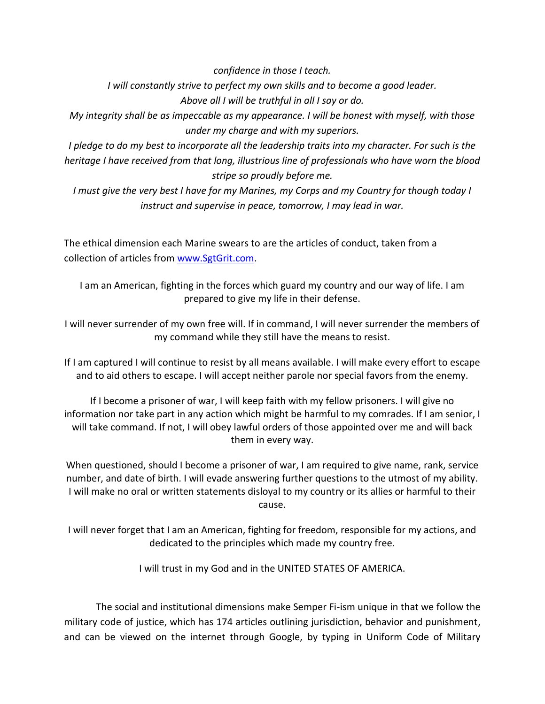*confidence in those I teach.*

*I will constantly strive to perfect my own skills and to become a good leader. Above all I will be truthful in all I say or do.*

*My integrity shall be as impeccable as my appearance. I will be honest with myself, with those under my charge and with my superiors.*

*I pledge to do my best to incorporate all the leadership traits into my character. For such is the heritage I have received from that long, illustrious line of professionals who have worn the blood stripe so proudly before me.*

*I must give the very best I have for my Marines, my Corps and my Country for though today I instruct and supervise in peace, tomorrow, I may lead in war.*

The ethical dimension each Marine swears to are the articles of conduct, taken from a collection of articles from [www.SgtGrit.com.](http://www.sgtgrit.com/)

I am an American, fighting in the forces which guard my country and our way of life. I am prepared to give my life in their defense.

I will never surrender of my own free will. If in command, I will never surrender the members of my command while they still have the means to resist.

If I am captured I will continue to resist by all means available. I will make every effort to escape and to aid others to escape. I will accept neither parole nor special favors from the enemy.

If I become a prisoner of war, I will keep faith with my fellow prisoners. I will give no information nor take part in any action which might be harmful to my comrades. If I am senior, I will take command. If not, I will obey lawful orders of those appointed over me and will back them in every way.

When questioned, should I become a prisoner of war, I am required to give name, rank, service number, and date of birth. I will evade answering further questions to the utmost of my ability. I will make no oral or written statements disloyal to my country or its allies or harmful to their cause.

I will never forget that I am an American, fighting for freedom, responsible for my actions, and dedicated to the principles which made my country free.

I will trust in my God and in the UNITED STATES OF AMERICA.

The social and institutional dimensions make Semper Fi-ism unique in that we follow the military code of justice, which has 174 articles outlining jurisdiction, behavior and punishment, and can be viewed on the internet through Google, by typing in Uniform Code of Military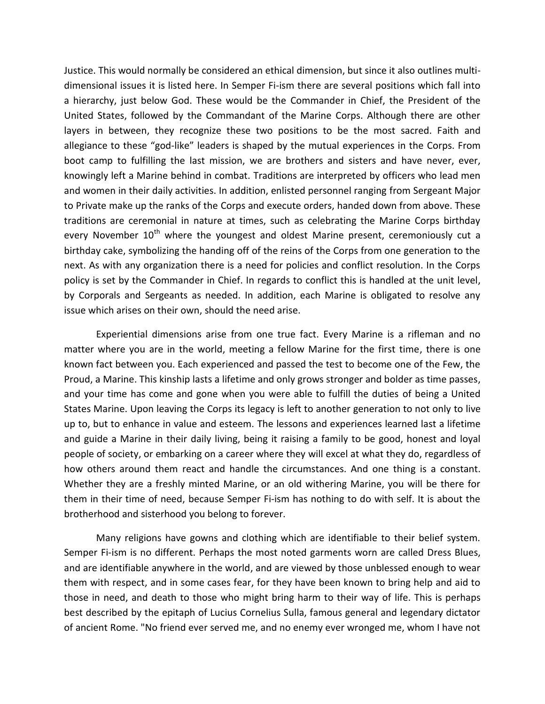Justice. This would normally be considered an ethical dimension, but since it also outlines multidimensional issues it is listed here. In Semper Fi-ism there are several positions which fall into a hierarchy, just below God. These would be the Commander in Chief, the President of the United States, followed by the Commandant of the Marine Corps. Although there are other layers in between, they recognize these two positions to be the most sacred. Faith and allegiance to these "god-like" leaders is shaped by the mutual experiences in the Corps. From boot camp to fulfilling the last mission, we are brothers and sisters and have never, ever, knowingly left a Marine behind in combat. Traditions are interpreted by officers who lead men and women in their daily activities. In addition, enlisted personnel ranging from Sergeant Major to Private make up the ranks of the Corps and execute orders, handed down from above. These traditions are ceremonial in nature at times, such as celebrating the Marine Corps birthday every November  $10<sup>th</sup>$  where the youngest and oldest Marine present, ceremoniously cut a birthday cake, symbolizing the handing off of the reins of the Corps from one generation to the next. As with any organization there is a need for policies and conflict resolution. In the Corps policy is set by the Commander in Chief. In regards to conflict this is handled at the unit level, by Corporals and Sergeants as needed. In addition, each Marine is obligated to resolve any issue which arises on their own, should the need arise.

Experiential dimensions arise from one true fact. Every Marine is a rifleman and no matter where you are in the world, meeting a fellow Marine for the first time, there is one known fact between you. Each experienced and passed the test to become one of the Few, the Proud, a Marine. This kinship lasts a lifetime and only grows stronger and bolder as time passes, and your time has come and gone when you were able to fulfill the duties of being a United States Marine. Upon leaving the Corps its legacy is left to another generation to not only to live up to, but to enhance in value and esteem. The lessons and experiences learned last a lifetime and guide a Marine in their daily living, being it raising a family to be good, honest and loyal people of society, or embarking on a career where they will excel at what they do, regardless of how others around them react and handle the circumstances. And one thing is a constant. Whether they are a freshly minted Marine, or an old withering Marine, you will be there for them in their time of need, because Semper Fi-ism has nothing to do with self. It is about the brotherhood and sisterhood you belong to forever.

Many religions have gowns and clothing which are identifiable to their belief system. Semper Fi-ism is no different. Perhaps the most noted garments worn are called Dress Blues, and are identifiable anywhere in the world, and are viewed by those unblessed enough to wear them with respect, and in some cases fear, for they have been known to bring help and aid to those in need, and death to those who might bring harm to their way of life. This is perhaps best described by the epitaph of Lucius Cornelius Sulla, famous general and legendary dictator of ancient Rome. "No friend ever served me, and no enemy ever wronged me, whom I have not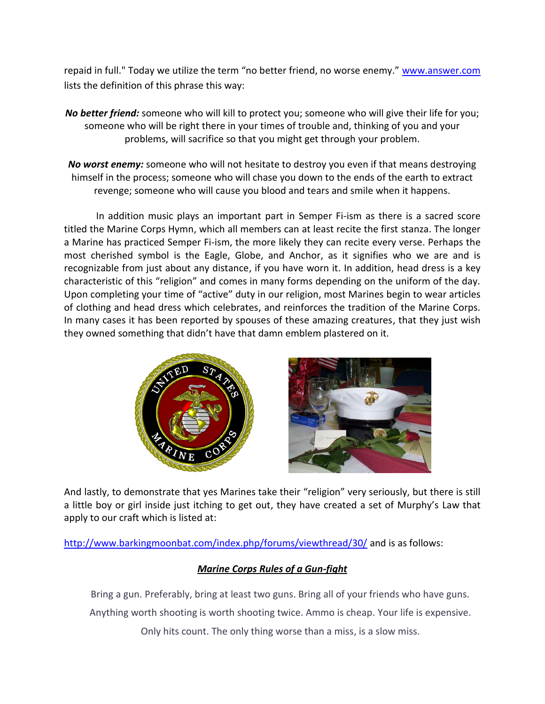repaid in full." Today we utilize the term "no better friend, no worse enemy." [www.answer.com](http://www.answer.com/) lists the definition of this phrase this way:

*No better friend:* someone who will kill to protect you; someone who will give their life for you; someone who will be right there in your times of trouble and, thinking of you and your problems, will sacrifice so that you might get through your problem.

*No worst enemy:* someone who will not hesitate to destroy you even if that means destroying himself in the process; someone who will chase you down to the ends of the earth to extract revenge; someone who will cause you blood and tears and smile when it happens.

In addition music plays an important part in Semper Fi-ism as there is a sacred score titled the Marine Corps Hymn, which all members can at least recite the first stanza. The longer a Marine has practiced Semper Fi-ism, the more likely they can recite every verse. Perhaps the most cherished symbol is the Eagle, Globe, and Anchor, as it signifies who we are and is recognizable from just about any distance, if you have worn it. In addition, head dress is a key characteristic of this "religion" and comes in many forms depending on the uniform of the day. Upon completing your time of "active" duty in our religion, most Marines begin to wear articles of clothing and head dress which celebrates, and reinforces the tradition of the Marine Corps. In many cases it has been reported by spouses of these amazing creatures, that they just wish they owned something that didn't have that damn emblem plastered on it.



And lastly, to demonstrate that yes Marines take their "religion" very seriously, but there is still a little boy or girl inside just itching to get out, they have created a set of Murphy's Law that apply to our craft which is listed at:

<http://www.barkingmoonbat.com/index.php/forums/viewthread/30/> and is as follows:

# *Marine Corps Rules of a Gun-fight*

Bring a gun. Preferably, bring at least two guns. Bring all of your friends who have guns. Anything worth shooting is worth shooting twice. Ammo is cheap. Your life is expensive. Only hits count. The only thing worse than a miss, is a slow miss.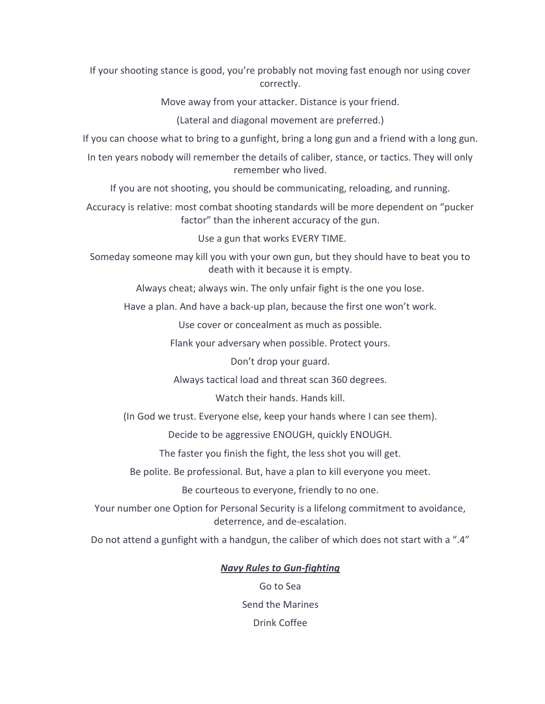If your shooting stance is good, you're probably not moving fast enough nor using cover correctly.

Move away from your attacker. Distance is your friend.

(Lateral and diagonal movement are preferred.)

If you can choose what to bring to a gunfight, bring a long gun and a friend with a long gun.

In ten years nobody will remember the details of caliber, stance, or tactics. They will only remember who lived.

If you are not shooting, you should be communicating, reloading, and running.

Accuracy is relative: most combat shooting standards will be more dependent on "pucker factor" than the inherent accuracy of the gun.

Use a gun that works EVERY TIME.

Someday someone may kill you with your own gun, but they should have to beat you to death with it because it is empty.

Always cheat; always win. The only unfair fight is the one you lose.

Have a plan. And have a back-up plan, because the first one won't work.

Use cover or concealment as much as possible.

Flank your adversary when possible. Protect yours.

Don't drop your guard.

Always tactical load and threat scan 360 degrees.

Watch their hands. Hands kill.

(In God we trust. Everyone else, keep your hands where I can see them).

Decide to be aggressive ENOUGH, quickly ENOUGH.

The faster you finish the fight, the less shot you will get.

Be polite. Be professional. But, have a plan to kill everyone you meet.

Be courteous to everyone, friendly to no one.

Your number one Option for Personal Security is a lifelong commitment to avoidance, deterrence, and de-escalation.

Do not attend a gunfight with a handgun, the caliber of which does not start with a ".4"

# *Navy Rules to Gun-fighting*

Go to Sea Send the Marines Drink Coffee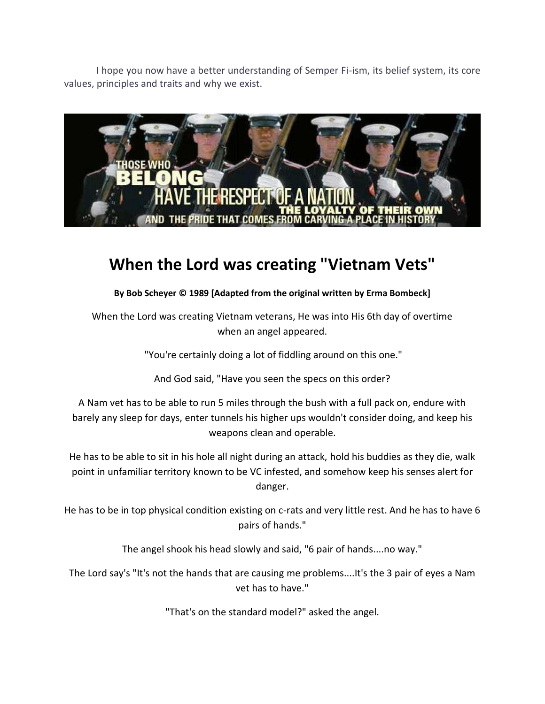I hope you now have a better understanding of Semper Fi-ism, its belief system, its core values, principles and traits and why we exist.



# **When the Lord was creating "Vietnam Vets"**

**By Bob Scheyer © 1989 [Adapted from the original written by Erma Bombeck]**

When the Lord was creating Vietnam veterans, He was into His 6th day of overtime when an angel appeared.

"You're certainly doing a lot of fiddling around on this one."

And God said, "Have you seen the specs on this order?

A Nam vet has to be able to run 5 miles through the bush with a full pack on, endure with barely any sleep for days, enter tunnels his higher ups wouldn't consider doing, and keep his weapons clean and operable.

He has to be able to sit in his hole all night during an attack, hold his buddies as they die, walk point in unfamiliar territory known to be VC infested, and somehow keep his senses alert for danger.

He has to be in top physical condition existing on c-rats and very little rest. And he has to have 6 pairs of hands."

The angel shook his head slowly and said, "6 pair of hands....no way."

The Lord say's "It's not the hands that are causing me problems....It's the 3 pair of eyes a Nam vet has to have."

"That's on the standard model?" asked the angel.